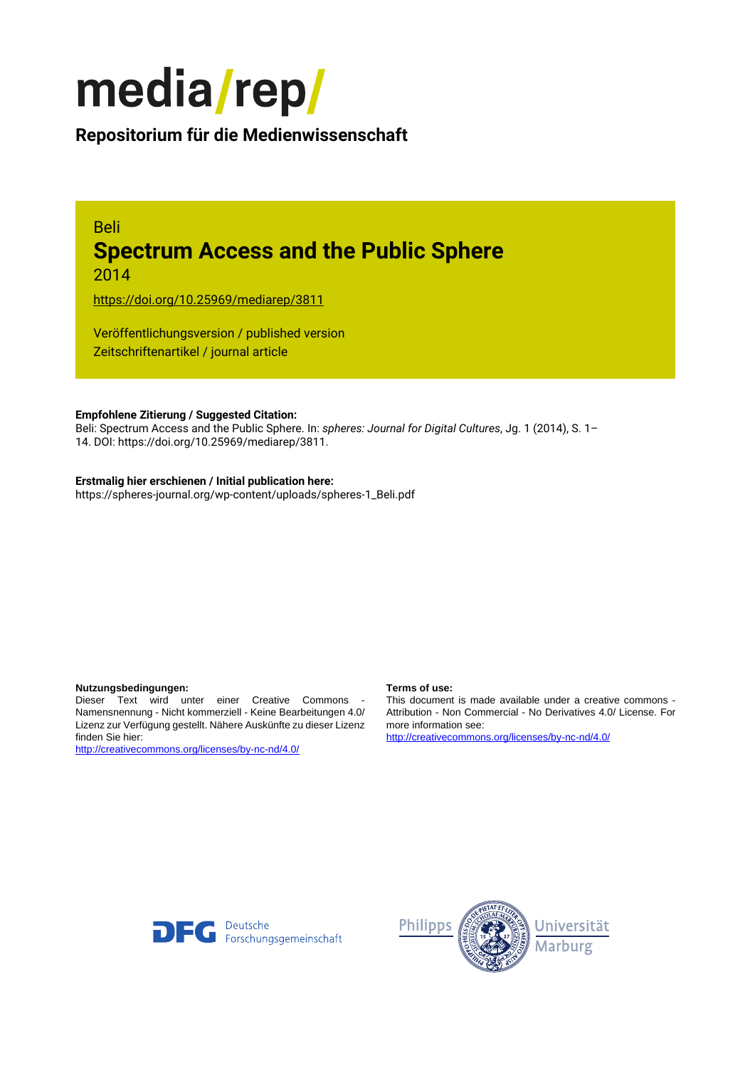

# **Repositorium für die [Medienwissenschaft](https://mediarep.org)**

# Beli **Spectrum Access and the Public Sphere** 2014

<https://doi.org/10.25969/mediarep/3811>

Veröffentlichungsversion / published version Zeitschriftenartikel / journal article

#### **Empfohlene Zitierung / Suggested Citation:**

Beli: Spectrum Access and the Public Sphere. In: *spheres: Journal for Digital Cultures*, Jg. 1 (2014), S. 1– 14. DOI: https://doi.org/10.25969/mediarep/3811.

#### **Erstmalig hier erschienen / Initial publication here:**

https://spheres-journal.org/wp-content/uploads/spheres-1\_Beli.pdf

#### **Nutzungsbedingungen: Terms of use:**

Dieser Text wird unter einer Creative Commons - Namensnennung - Nicht kommerziell - Keine Bearbeitungen 4.0/ Lizenz zur Verfügung gestellt. Nähere Auskünfte zu dieser Lizenz finden Sie hier:

<http://creativecommons.org/licenses/by-nc-nd/4.0/>

This document is made available under a creative commons - Attribution - Non Commercial - No Derivatives 4.0/ License. For more information see:

<http://creativecommons.org/licenses/by-nc-nd/4.0/>



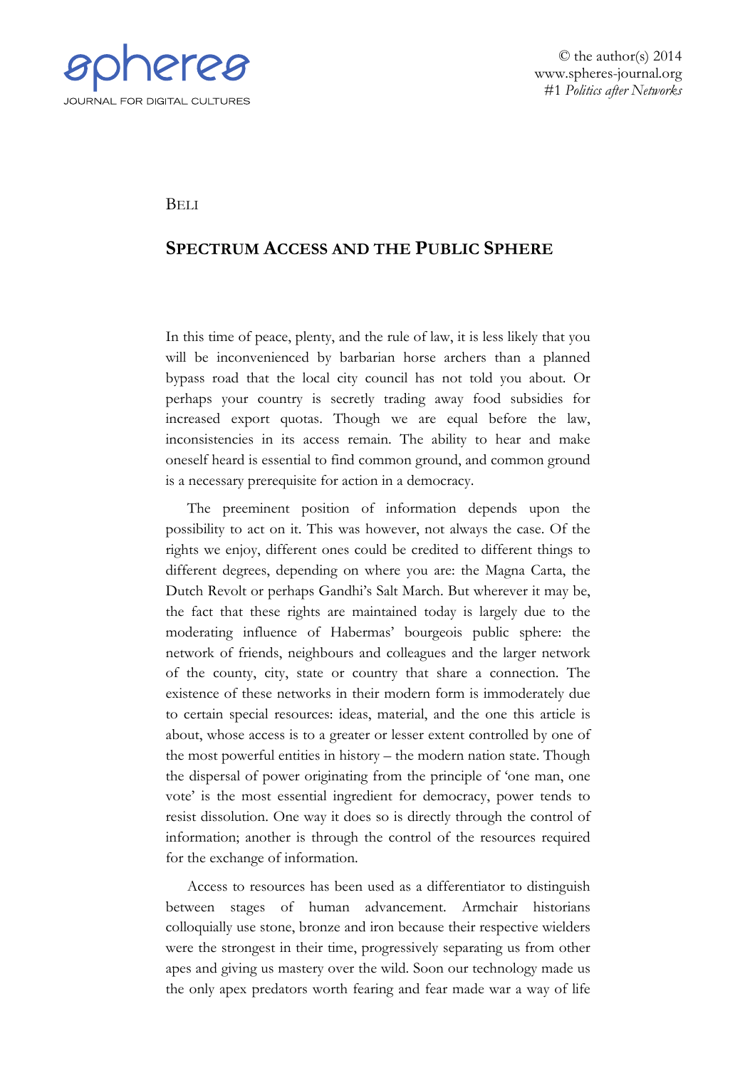

© the author(s) 2014 www.spheres-journal.org #1 *Politics after Networks*

**BELI** 

# **SPECTRUM ACCESS AND THE PUBLIC SPHERE**

In this time of peace, plenty, and the rule of law, it is less likely that you will be inconvenienced by barbarian horse archers than a planned bypass road that the local city council has not told you about. Or perhaps your country is secretly trading away food subsidies for increased export quotas. Though we are equal before the law, inconsistencies in its access remain. The ability to hear and make oneself heard is essential to find common ground, and common ground is a necessary prerequisite for action in a democracy.

The preeminent position of information depends upon the possibility to act on it. This was however, not always the case. Of the rights we enjoy, different ones could be credited to different things to different degrees, depending on where you are: the Magna Carta, the Dutch Revolt or perhaps Gandhi's Salt March. But wherever it may be, the fact that these rights are maintained today is largely due to the moderating influence of Habermas' bourgeois public sphere: the network of friends, neighbours and colleagues and the larger network of the county, city, state or country that share a connection. The existence of these networks in their modern form is immoderately due to certain special resources: ideas, material, and the one this article is about, whose access is to a greater or lesser extent controlled by one of the most powerful entities in history – the modern nation state. Though the dispersal of power originating from the principle of 'one man, one vote' is the most essential ingredient for democracy, power tends to resist dissolution. One way it does so is directly through the control of information; another is through the control of the resources required for the exchange of information.

Access to resources has been used as a differentiator to distinguish between stages of human advancement. Armchair historians colloquially use stone, bronze and iron because their respective wielders were the strongest in their time, progressively separating us from other apes and giving us mastery over the wild. Soon our technology made us the only apex predators worth fearing and fear made war a way of life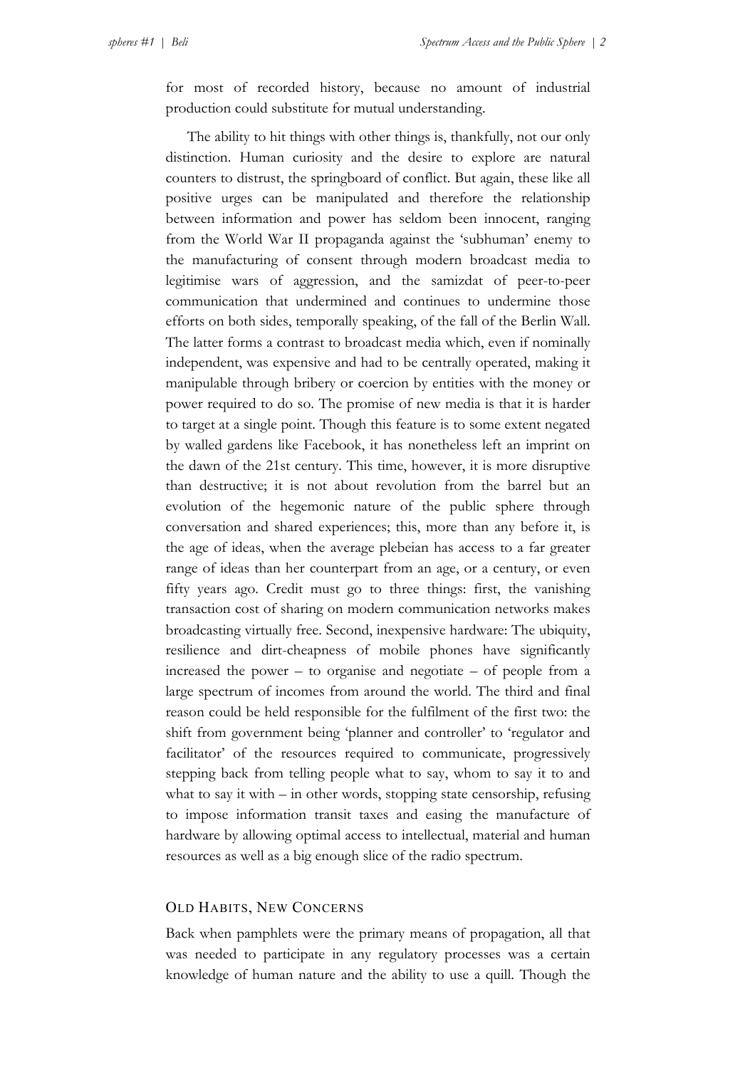for most of recorded history, because no amount of industrial production could substitute for mutual understanding.

The ability to hit things with other things is, thankfully, not our only distinction. Human curiosity and the desire to explore are natural counters to distrust, the springboard of conflict. But again, these like all positive urges can be manipulated and therefore the relationship between information and power has seldom been innocent, ranging from the World War II propaganda against the 'subhuman' enemy to the manufacturing of consent through modern broadcast media to legitimise wars of aggression, and the samizdat of peer-to-peer communication that undermined and continues to undermine those efforts on both sides, temporally speaking, of the fall of the Berlin Wall. The latter forms a contrast to broadcast media which, even if nominally independent, was expensive and had to be centrally operated, making it manipulable through bribery or coercion by entities with the money or power required to do so. The promise of new media is that it is harder to target at a single point. Though this feature is to some extent negated by walled gardens like Facebook, it has nonetheless left an imprint on the dawn of the 21st century. This time, however, it is more disruptive than destructive; it is not about revolution from the barrel but an evolution of the hegemonic nature of the public sphere through conversation and shared experiences; this, more than any before it, is the age of ideas, when the average plebeian has access to a far greater range of ideas than her counterpart from an age, or a century, or even fifty years ago. Credit must go to three things: first, the vanishing transaction cost of sharing on modern communication networks makes broadcasting virtually free. Second, inexpensive hardware: The ubiquity, resilience and dirt-cheapness of mobile phones have significantly increased the power – to organise and negotiate – of people from a large spectrum of incomes from around the world. The third and final reason could be held responsible for the fulfilment of the first two: the shift from government being 'planner and controller' to 'regulator and facilitator' of the resources required to communicate, progressively stepping back from telling people what to say, whom to say it to and what to say it with – in other words, stopping state censorship, refusing to impose information transit taxes and easing the manufacture of hardware by allowing optimal access to intellectual, material and human resources as well as a big enough slice of the radio spectrum.

## OLD HABITS, NEW CONCERNS

Back when pamphlets were the primary means of propagation, all that was needed to participate in any regulatory processes was a certain knowledge of human nature and the ability to use a quill. Though the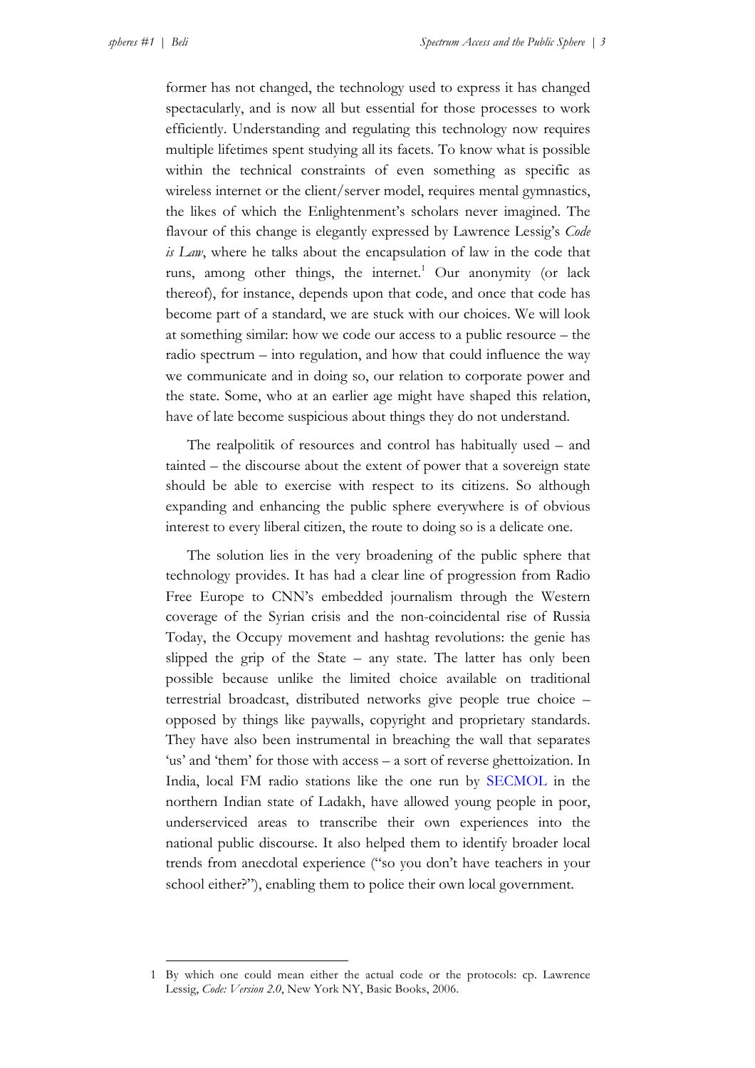former has not changed, the technology used to express it has changed spectacularly, and is now all but essential for those processes to work efficiently. Understanding and regulating this technology now requires multiple lifetimes spent studying all its facets. To know what is possible within the technical constraints of even something as specific as wireless internet or the client/server model, requires mental gymnastics, the likes of which the Enlightenment's scholars never imagined. The flavour of this change is elegantly expressed by Lawrence Lessig's *Code is Law*, where he talks about the encapsulation of law in the code that runs, among other things, the internet.<sup>1</sup> Our anonymity (or lack thereof), for instance, depends upon that code, and once that code has become part of a standard, we are stuck with our choices. We will look at something similar: how we code our access to a public resource – the radio spectrum – into regulation, and how that could influence the way we communicate and in doing so, our relation to corporate power and the state. Some, who at an earlier age might have shaped this relation, have of late become suspicious about things they do not understand.

The realpolitik of resources and control has habitually used – and tainted – the discourse about the extent of power that a sovereign state should be able to exercise with respect to its citizens. So although expanding and enhancing the public sphere everywhere is of obvious interest to every liberal citizen, the route to doing so is a delicate one.

The solution lies in the very broadening of the public sphere that technology provides. It has had a clear line of progression from Radio Free Europe to CNN's embedded journalism through the Western coverage of the Syrian crisis and the non-coincidental rise of Russia Today, the Occupy movement and hashtag revolutions: the genie has slipped the grip of the State – any state. The latter has only been possible because unlike the limited choice available on traditional terrestrial broadcast, distributed networks give people true choice – opposed by things like paywalls, copyright and proprietary standards. They have also been instrumental in breaching the wall that separates 'us' and 'them' for those with access – a sort of reverse ghettoization. In India, local FM radio stations like the one run [by SECMOL](http://www.secmol.org/) in the northern Indian state of Ladakh, have allowed young people in poor, underserviced areas to transcribe their own experiences into the national public discourse. It also helped them to identify broader local trends from anecdotal experience ("so you don't have teachers in your school either?"), enabling them to police their own local government.

<sup>1</sup> By which one could mean either the actual code or the protocols: cp. Lawrence Lessig, *Code: Version 2.0*, New York NY, Basic Books, 2006.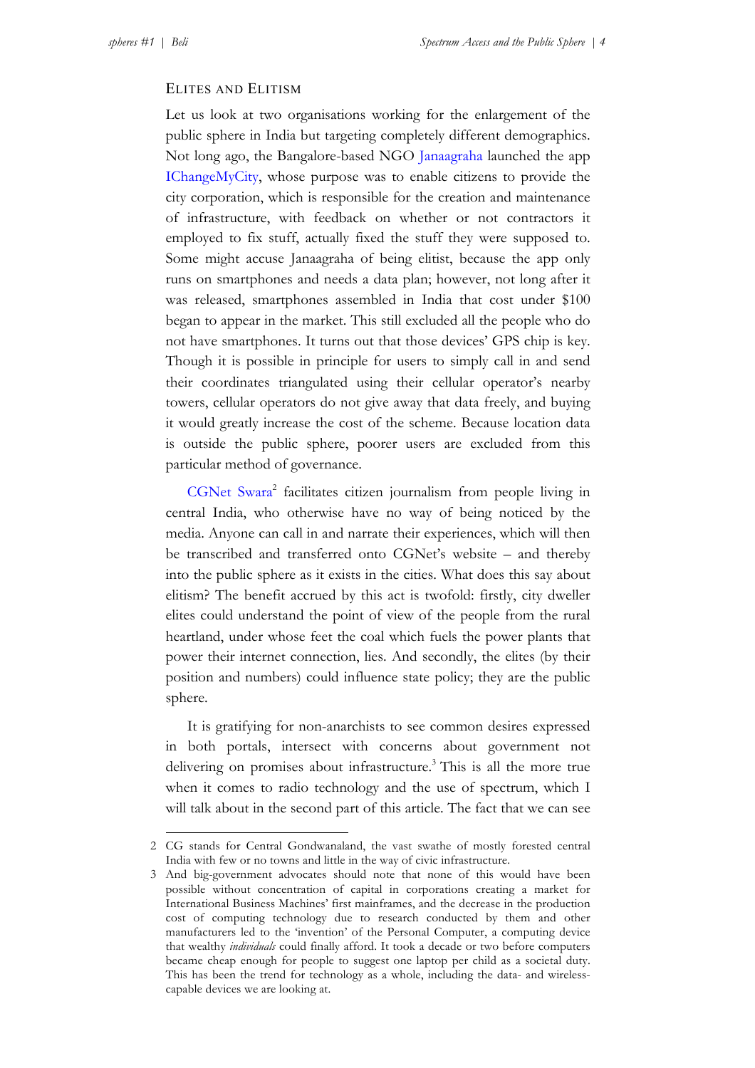## ELITES AND ELITISM

Let us look at two organisations working for the enlargement of the public sphere in India but targeting completely different demographics. Not long ago, the Bangalore-based NGO [Janaagraha](http://www.janaagraha.org/) launched the app [IChangeMyCity](http://www.ichangemycity.com), whose purpose was to enable citizens to provide the city corporation, which is responsible for the creation and maintenance of infrastructure, with feedback on whether or not contractors it employed to fix stuff, actually fixed the stuff they were supposed to. Some might accuse Janaagraha of being elitist, because the app only runs on smartphones and needs a data plan; however, not long after it was released, smartphones assembled in India that cost under \$100 began to appear in the market. This still excluded all the people who do not have smartphones. It turns out that those devices' GPS chip is key. Though it is possible in principle for users to simply call in and send their coordinates triangulated using their cellular operator's nearby towers, cellular operators do not give away that data freely, and buying it would greatly increase the cost of the scheme. Because location data is outside the public sphere, poorer users are excluded from this particular method of governance.

CGNet Swara<sup>2</sup> facilitates citizen journalism from people living in central India, who otherwise have no way of being noticed by the media. Anyone can call in and narrate their experiences, which will then be transcribed and transferred onto CGNet's website – and thereby into the public sphere as it exists in the cities. What does this say about elitism? The benefit accrued by this act is twofold: firstly, city dweller elites could understand the point of view of the people from the rural heartland, under whose feet the coal which fuels the power plants that power their internet connection, lies. And secondly, the elites (by their position and numbers) could influence state policy; they are the public sphere.

It is gratifying for non-anarchists to see common desires expressed in both portals, intersect with concerns about government not delivering on promises about infrastructure.<sup>3</sup> This is all the more true when it comes to radio technology and the use of spectrum, which I will talk about in the second part of this article. The fact that we can see

<sup>2</sup> CG stands for Central Gondwanaland, the vast swathe of mostly forested central India with few or no towns and little in the way of civic infrastructure.

<sup>3</sup> And big-government advocates should note that none of this would have been possible without concentration of capital in corporations creating a market for International Business Machines' first mainframes, and the decrease in the production cost of computing technology due to research conducted by them and other manufacturers led to the 'invention' of the Personal Computer, a computing device that wealthy *individuals* could finally afford. It took a decade or two before computers became cheap enough for people to suggest one laptop per child as a societal duty. This has been the trend for technology as a whole, including the data- and wirelesscapable devices we are looking at.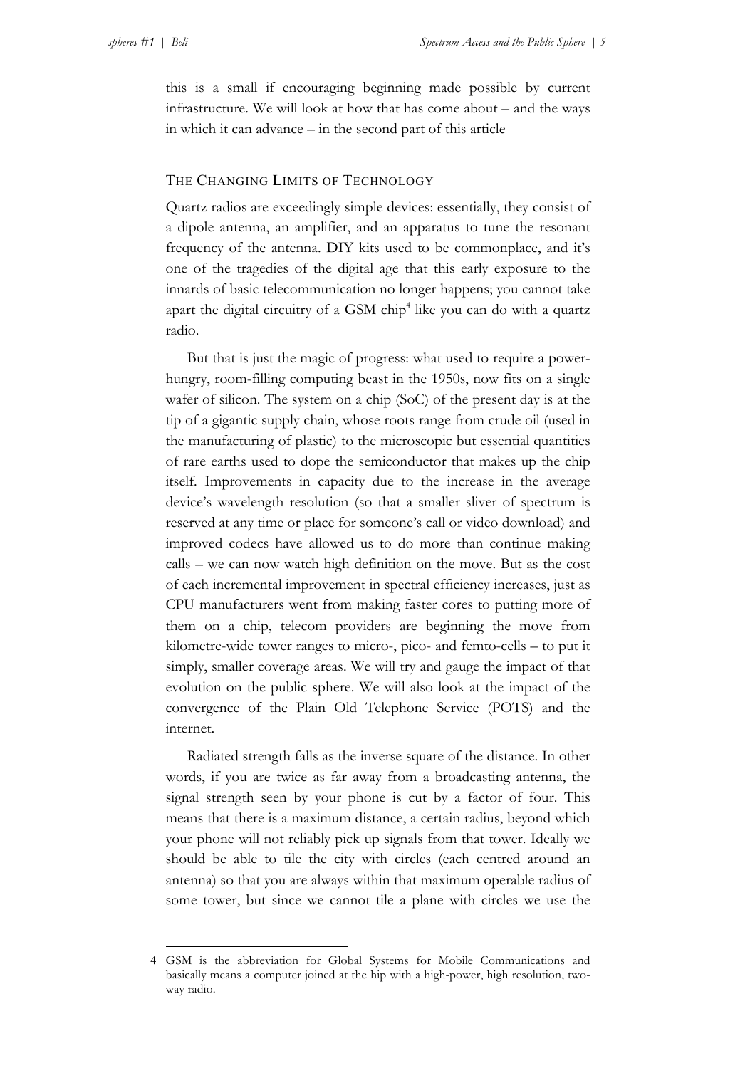this is a small if encouraging beginning made possible by current infrastructure. We will look at how that has come about – and the ways in which it can advance – in the second part of this article

## THE CHANGING LIMITS OF TECHNOLOGY

Quartz radios are exceedingly simple devices: essentially, they consist of a dipole antenna, an amplifier, and an apparatus to tune the resonant frequency of the antenna. DIY kits used to be commonplace, and it's one of the tragedies of the digital age that this early exposure to the innards of basic telecommunication no longer happens; you cannot take apart the digital circuitry of a GSM  $\text{chip}^4$  like you can do with a quartz radio.

But that is just the magic of progress: what used to require a powerhungry, room-filling computing beast in the 1950s, now fits on a single wafer of silicon. The system on a chip (SoC) of the present day is at the tip of a gigantic supply chain, whose roots range from crude oil (used in the manufacturing of plastic) to the microscopic but essential quantities of rare earths used to dope the semiconductor that makes up the chip itself. Improvements in capacity due to the increase in the average device's wavelength resolution (so that a smaller sliver of spectrum is reserved at any time or place for someone's call or video download) and improved codecs have allowed us to do more than continue making calls – we can now watch high definition on the move. But as the cost of each incremental improvement in spectral efficiency increases, just as CPU manufacturers went from making faster cores to putting more of them on a chip, telecom providers are beginning the move from kilometre-wide tower ranges to micro-, pico- and femto-cells – to put it simply, smaller coverage areas. We will try and gauge the impact of that evolution on the public sphere. We will also look at the impact of the convergence of the Plain Old Telephone Service (POTS) and the internet.

Radiated strength falls as the inverse square of the distance. In other words, if you are twice as far away from a broadcasting antenna, the signal strength seen by your phone is cut by a factor of four. This means that there is a maximum distance, a certain radius, beyond which your phone will not reliably pick up signals from that tower. Ideally we should be able to tile the city with circles (each centred around an antenna) so that you are always within that maximum operable radius of some tower, but since we cannot tile a plane with circles we use the

<sup>4</sup> GSM is the abbreviation for Global Systems for Mobile Communications and basically means a computer joined at the hip with a high-power, high resolution, twoway radio.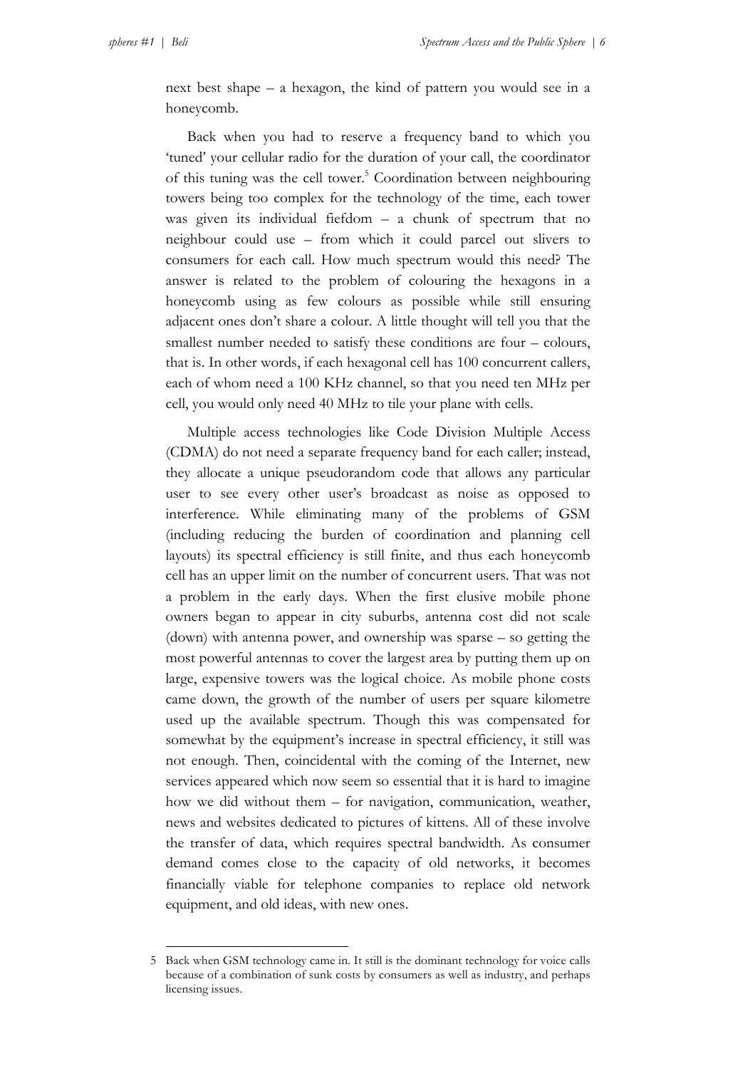next best shape – a hexagon, the kind of pattern you would see in a honeycomb.

Back when you had to reserve a frequency band to which you 'tuned' your cellular radio for the duration of your call, the coordinator of this tuning was the cell tower.<sup>5</sup> Coordination between neighbouring towers being too complex for the technology of the time, each tower was given its individual fiefdom – a chunk of spectrum that no neighbour could use – from which it could parcel out slivers to consumers for each call. How much spectrum would this need? The answer is related to the problem of colouring the hexagons in a honeycomb using as few colours as possible while still ensuring adjacent ones don't share a colour. A little thought will tell you that the smallest number needed to satisfy these conditions are four – colours, that is. In other words, if each hexagonal cell has 100 concurrent callers, each of whom need a 100 KHz channel, so that you need ten MHz per cell, you would only need 40 MHz to tile your plane with cells.

Multiple access technologies like Code Division Multiple Access (CDMA) do not need a separate frequency band for each caller; instead, they allocate a unique pseudorandom code that allows any particular user to see every other user's broadcast as noise as opposed to interference. While eliminating many of the problems of GSM (including reducing the burden of coordination and planning cell layouts) its spectral efficiency is still finite, and thus each honeycomb cell has an upper limit on the number of concurrent users. That was not a problem in the early days. When the first elusive mobile phone owners began to appear in city suburbs, antenna cost did not scale (down) with antenna power, and ownership was sparse – so getting the most powerful antennas to cover the largest area by putting them up on large, expensive towers was the logical choice. As mobile phone costs came down, the growth of the number of users per square kilometre used up the available spectrum. Though this was compensated for somewhat by the equipment's increase in spectral efficiency, it still was not enough. Then, coincidental with the coming of the Internet, new services appeared which now seem so essential that it is hard to imagine how we did without them – for navigation, communication, weather, news and websites dedicated to pictures of kittens. All of these involve the transfer of data, which requires spectral bandwidth. As consumer demand comes close to the capacity of old networks, it becomes financially viable for telephone companies to replace old network equipment, and old ideas, with new ones.

<sup>5</sup> Back when GSM technology came in. It still is the dominant technology for voice calls because of a combination of sunk costs by consumers as well as industry, and perhaps licensing issues.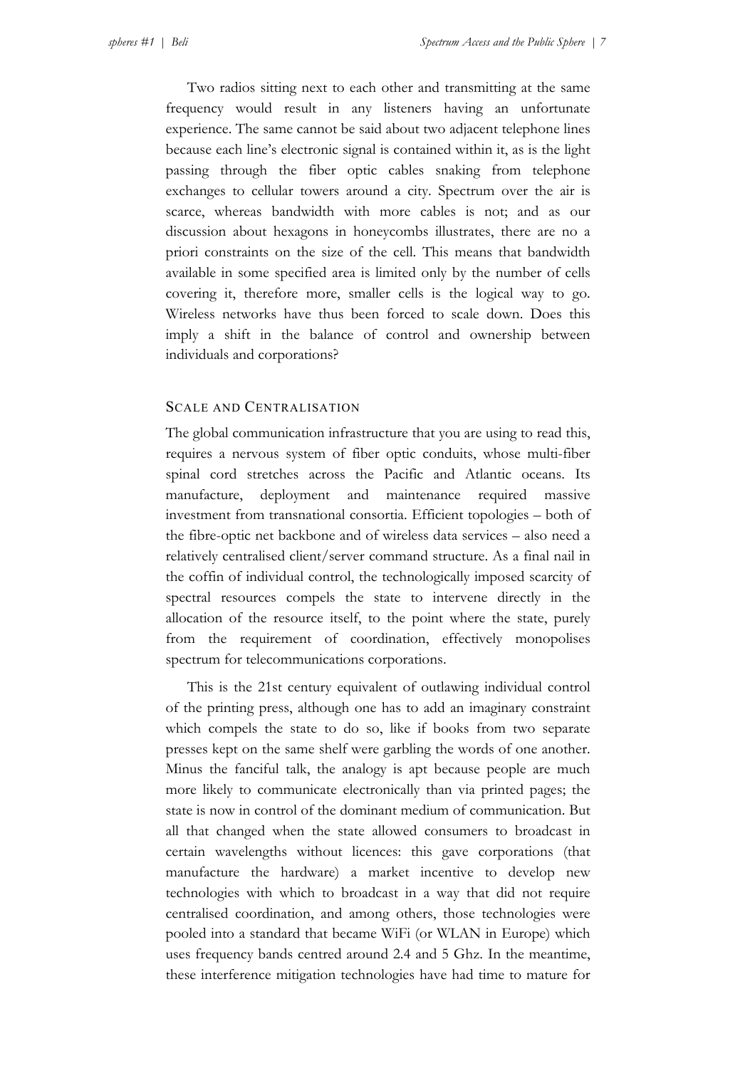Two radios sitting next to each other and transmitting at the same frequency would result in any listeners having an unfortunate experience. The same cannot be said about two adjacent telephone lines because each line's electronic signal is contained within it, as is the light passing through the fiber optic cables snaking from telephone exchanges to cellular towers around a city. Spectrum over the air is scarce, whereas bandwidth with more cables is not; and as our discussion about hexagons in honeycombs illustrates, there are no a priori constraints on the size of the cell. This means that bandwidth available in some specified area is limited only by the number of cells covering it, therefore more, smaller cells is the logical way to go. Wireless networks have thus been forced to scale down. Does this imply a shift in the balance of control and ownership between individuals and corporations?

## SCALE AND CENTRALISATION

The global communication infrastructure that you are using to read this, requires a nervous system of fiber optic conduits, whose multi-fiber spinal cord stretches across the Pacific and Atlantic oceans. Its manufacture, deployment and maintenance required massive investment from transnational consortia. Efficient topologies – both of the fibre-optic net backbone and of wireless data services – also need a relatively centralised client/server command structure. As a final nail in the coffin of individual control, the technologically imposed scarcity of spectral resources compels the state to intervene directly in the allocation of the resource itself, to the point where the state, purely from the requirement of coordination, effectively monopolises spectrum for telecommunications corporations.

This is the 21st century equivalent of outlawing individual control of the printing press, although one has to add an imaginary constraint which compels the state to do so, like if books from two separate presses kept on the same shelf were garbling the words of one another. Minus the fanciful talk, the analogy is apt because people are much more likely to communicate electronically than via printed pages; the state is now in control of the dominant medium of communication. But all that changed when the state allowed consumers to broadcast in certain wavelengths without licences: this gave corporations (that manufacture the hardware) a market incentive to develop new technologies with which to broadcast in a way that did not require centralised coordination, and among others, those technologies were pooled into a standard that became WiFi (or WLAN in Europe) which uses frequency bands centred around 2.4 and 5 Ghz. In the meantime, these interference mitigation technologies have had time to mature for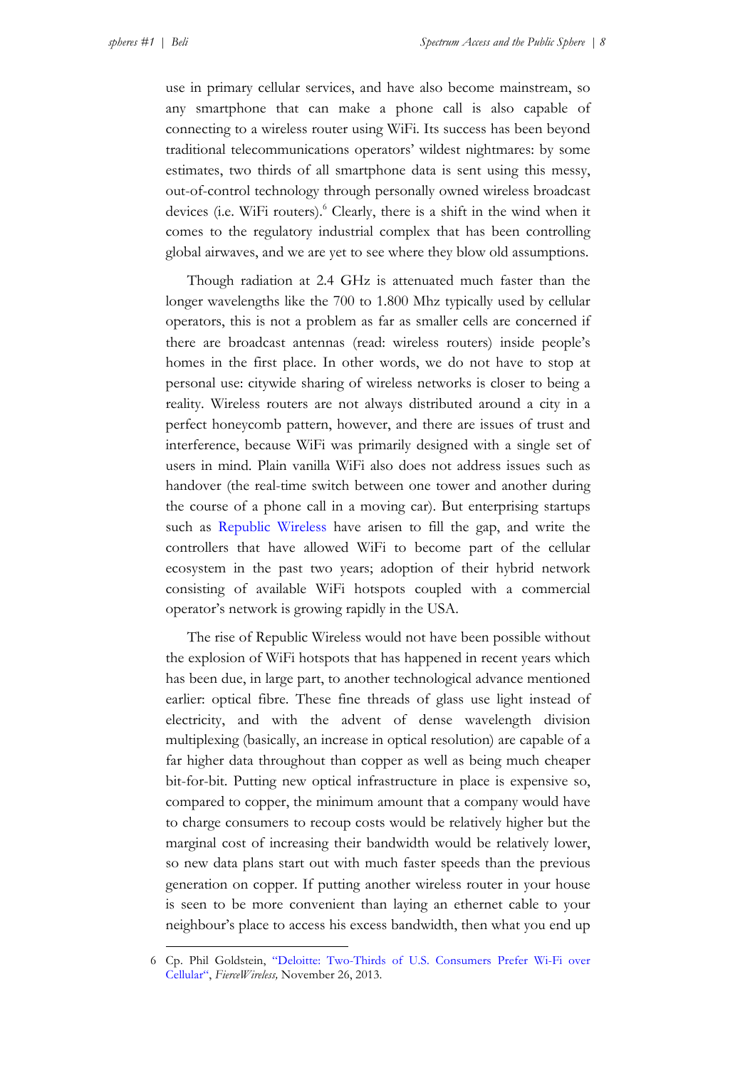use in primary cellular services, and have also become mainstream, so any smartphone that can make a phone call is also capable of connecting to a wireless router using WiFi. Its success has been beyond traditional telecommunications operators' wildest nightmares: by some estimates, two thirds of all smartphone data is sent using this messy, out-of-control technology through personally owned wireless broadcast devices (i.e. WiFi routers). <sup>6</sup> Clearly, there is a shift in the wind when it comes to the regulatory industrial complex that has been controlling global airwaves, and we are yet to see where they blow old assumptions.

Though radiation at 2.4 GHz is attenuated much faster than the longer wavelengths like the 700 to 1.800 Mhz typically used by cellular operators, this is not a problem as far as smaller cells are concerned if there are broadcast antennas (read: wireless routers) inside people's homes in the first place. In other words, we do not have to stop at personal use: citywide sharing of wireless networks is closer to being a reality. Wireless routers are not always distributed around a city in a perfect honeycomb pattern, however, and there are issues of trust and interference, because WiFi was primarily designed with a single set of users in mind. Plain vanilla WiFi also does not address issues such as handover (the real-time switch between one tower and another during the course of a phone call in a moving car). But enterprising startups such as [Republic Wireless](https://republicwireless.com/) have arisen to fill the gap, and write the controllers that have allowed WiFi to become part of the cellular ecosystem in the past two years; adoption of their hybrid network consisting of available WiFi hotspots coupled with a commercial operator's network is growing rapidly in the USA.

The rise of Republic Wireless would not have been possible without the explosion of WiFi hotspots that has happened in recent years which has been due, in large part, to another technological advance mentioned earlier: optical fibre. These fine threads of glass use light instead of electricity, and with the advent of dense wavelength division multiplexing (basically, an increase in optical resolution) are capable of a far higher data throughout than copper as well as being much cheaper bit-for-bit. Putting new optical infrastructure in place is expensive so, compared to copper, the minimum amount that a company would have to charge consumers to recoup costs would be relatively higher but the marginal cost of increasing their bandwidth would be relatively lower, so new data plans start out with much faster speeds than the previous generation on copper. If putting another wireless router in your house is seen to be more convenient than laying an ethernet cable to your neighbour's place to access his excess bandwidth, then what you end up

<sup>6</sup> Cp. Phil Goldstein, ["Deloitte: Two-Thirds of U.S. Consumers Prefer Wi-Fi over](http://www.fiercewireless.com/story/deloitte-two-thirds-us-consumers-prefer-wi-fi-over-cellular/2013-11-26)  [Cellular"](http://www.fiercewireless.com/story/deloitte-two-thirds-us-consumers-prefer-wi-fi-over-cellular/2013-11-26), *FierceWireless,* November 26, 2013.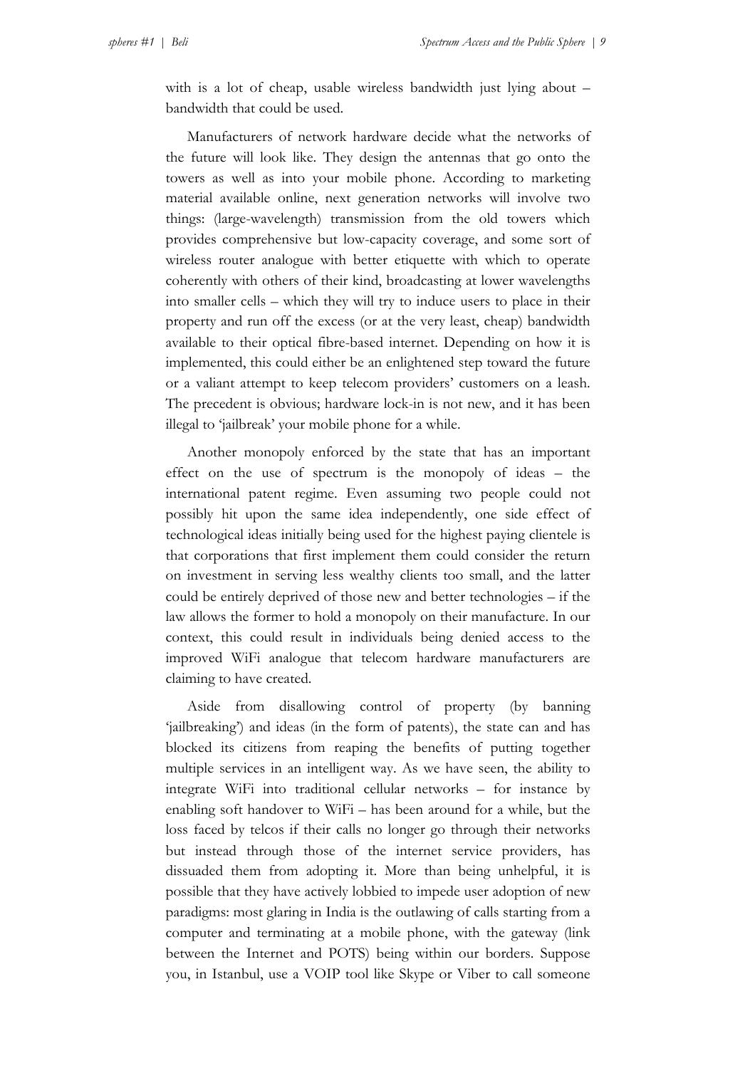with is a lot of cheap, usable wireless bandwidth just lying about – bandwidth that could be used.

Manufacturers of network hardware decide what the networks of the future will look like. They design the antennas that go onto the towers as well as into your mobile phone. According to marketing material available online, next generation networks will involve two things: (large-wavelength) transmission from the old towers which provides comprehensive but low-capacity coverage, and some sort of wireless router analogue with better etiquette with which to operate coherently with others of their kind, broadcasting at lower wavelengths into smaller cells – which they will try to induce users to place in their property and run off the excess (or at the very least, cheap) bandwidth available to their optical fibre-based internet. Depending on how it is implemented, this could either be an enlightened step toward the future or a valiant attempt to keep telecom providers' customers on a leash. The precedent is obvious; hardware lock-in is not new, and it has been illegal to 'jailbreak' your mobile phone for a while.

Another monopoly enforced by the state that has an important effect on the use of spectrum is the monopoly of ideas – the international patent regime. Even assuming two people could not possibly hit upon the same idea independently, one side effect of technological ideas initially being used for the highest paying clientele is that corporations that first implement them could consider the return on investment in serving less wealthy clients too small, and the latter could be entirely deprived of those new and better technologies – if the law allows the former to hold a monopoly on their manufacture. In our context, this could result in individuals being denied access to the improved WiFi analogue that telecom hardware manufacturers are claiming to have created.

Aside from disallowing control of property (by banning 'jailbreaking') and ideas (in the form of patents), the state can and has blocked its citizens from reaping the benefits of putting together multiple services in an intelligent way. As we have seen, the ability to integrate WiFi into traditional cellular networks – for instance by enabling soft handover to WiFi – has been around for a while, but the loss faced by telcos if their calls no longer go through their networks but instead through those of the internet service providers, has dissuaded them from adopting it. More than being unhelpful, it is possible that they have actively lobbied to impede user adoption of new paradigms: most glaring in India is the outlawing of calls starting from a computer and terminating at a mobile phone, with the gateway (link between the Internet and POTS) being within our borders. Suppose you, in Istanbul, use a VOIP tool like Skype or Viber to call someone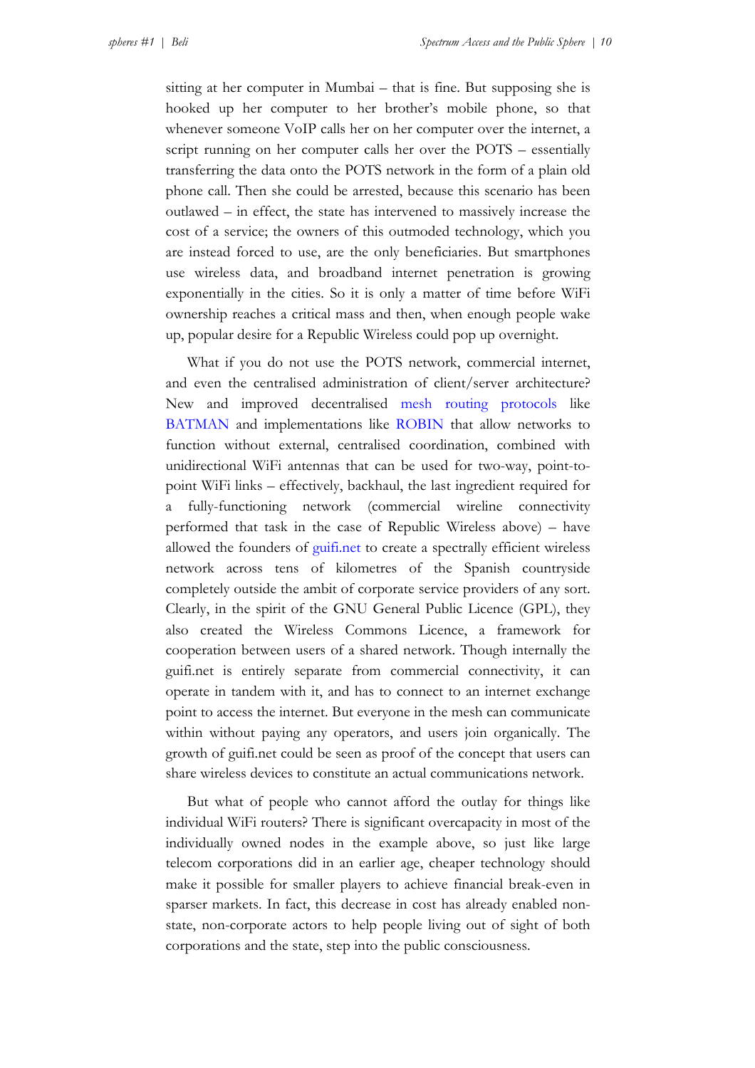sitting at her computer in Mumbai – that is fine. But supposing she is hooked up her computer to her brother's mobile phone, so that whenever someone VoIP calls her on her computer over the internet, a script running on her computer calls her over the POTS – essentially transferring the data onto the POTS network in the form of a plain old phone call. Then she could be arrested, because this scenario has been outlawed – in effect, the state has intervened to massively increase the cost of a service; the owners of this outmoded technology, which you are instead forced to use, are the only beneficiaries. But smartphones use wireless data, and broadband internet penetration is growing exponentially in the cities. So it is only a matter of time before WiFi ownership reaches a critical mass and then, when enough people wake up, popular desire for a Republic Wireless could pop up overnight.

What if you do not use the POTS network, commercial internet, and even the centralised administration of client/server architecture? New and improved decentralised [mesh routing protocols](http://en.wikipedia.org/wiki/Mesh_networking) like [BATMAN](http://en.wikipedia.org/wiki/B.A.T.M.A.N.) and implementations like [ROBIN](https://launchpad.net/robin) that allow networks to function without external, centralised coordination, combined with unidirectional WiFi antennas that can be used for two-way, point-topoint WiFi links – effectively, backhaul, the last ingredient required for a fully-functioning network (commercial wireline connectivity performed that task in the case of Republic Wireless above) – have allowed the founders of [guifi.net](http://www.guifi.net/) to create a spectrally efficient wireless network across tens of kilometres of the Spanish countryside completely outside the ambit of corporate service providers of any sort. Clearly, in the spirit of the GNU General Public Licence (GPL), they also created the Wireless Commons Licence, a framework for cooperation between users of a shared network. Though internally the guifi.net is entirely separate from commercial connectivity, it can operate in tandem with it, and has to connect to an internet exchange point to access the internet. But everyone in the mesh can communicate within without paying any operators, and users join organically. The growth of guifi.net could be seen as proof of the concept that users can share wireless devices to constitute an actual communications network.

But what of people who cannot afford the outlay for things like individual WiFi routers? There is significant overcapacity in most of the individually owned nodes in the example above, so just like large telecom corporations did in an earlier age, cheaper technology should make it possible for smaller players to achieve financial break-even in sparser markets. In fact, this decrease in cost has already enabled nonstate, non-corporate actors to help people living out of sight of both corporations and the state, step into the public consciousness.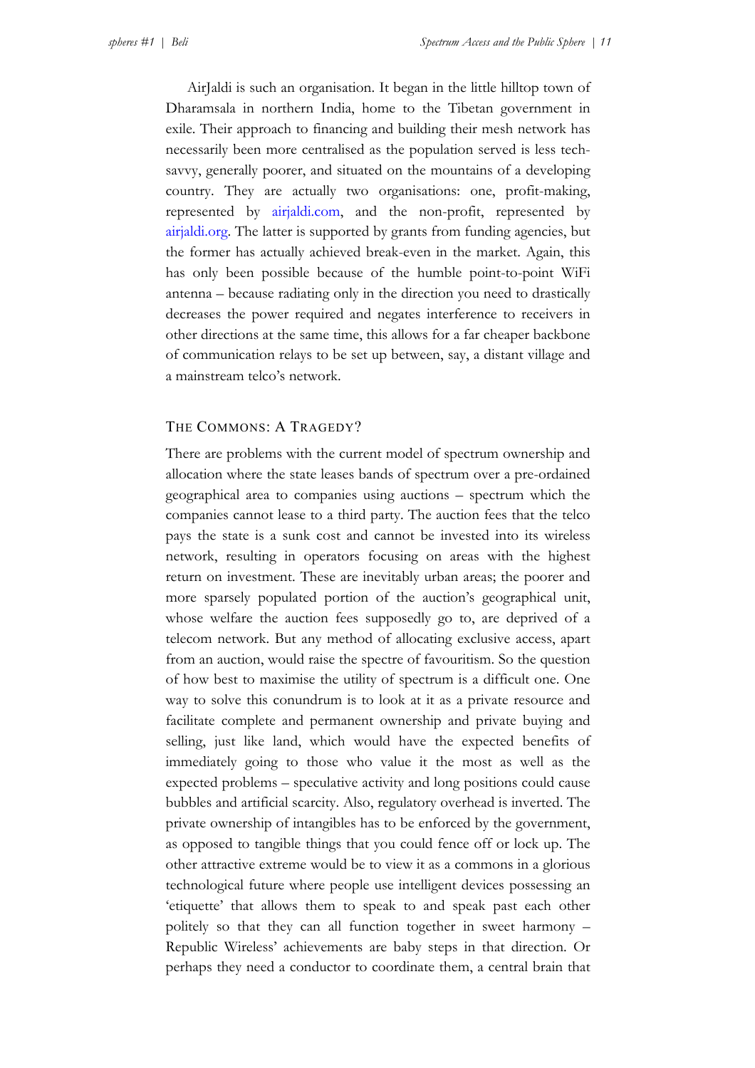AirJaldi is such an organisation. It began in the little hilltop town of Dharamsala in northern India, home to the Tibetan government in exile. Their approach to financing and building their mesh network has necessarily been more centralised as the population served is less techsavvy, generally poorer, and situated on the mountains of a developing country. They are actually two organisations: one, profit-making, represented by [airjaldi.com,](http://main.airjaldi.com/) and the non-profit, represented by [airjaldi.org](http://main.airjaldi.org/). The latter is supported by grants from funding agencies, but the former has actually achieved break-even in the market. Again, this has only been possible because of the humble point-to-point WiFi antenna – because radiating only in the direction you need to drastically decreases the power required and negates interference to receivers in other directions at the same time, this allows for a far cheaper backbone of communication relays to be set up between, say, a distant village and a mainstream telco's network.

## THE COMMONS: A TRAGEDY?

There are problems with the current model of spectrum ownership and allocation where the state leases bands of spectrum over a pre-ordained geographical area to companies using auctions – spectrum which the companies cannot lease to a third party. The auction fees that the telco pays the state is a sunk cost and cannot be invested into its wireless network, resulting in operators focusing on areas with the highest return on investment. These are inevitably urban areas; the poorer and more sparsely populated portion of the auction's geographical unit, whose welfare the auction fees supposedly go to, are deprived of a telecom network. But any method of allocating exclusive access, apart from an auction, would raise the spectre of favouritism. So the question of how best to maximise the utility of spectrum is a difficult one. One way to solve this conundrum is to look at it as a private resource and facilitate complete and permanent ownership and private buying and selling, just like land, which would have the expected benefits of immediately going to those who value it the most as well as the expected problems – speculative activity and long positions could cause bubbles and artificial scarcity. Also, regulatory overhead is inverted. The private ownership of intangibles has to be enforced by the government, as opposed to tangible things that you could fence off or lock up. The other attractive extreme would be to view it as a commons in a glorious technological future where people use intelligent devices possessing an 'etiquette' that allows them to speak to and speak past each other politely so that they can all function together in sweet harmony – Republic Wireless' achievements are baby steps in that direction. Or perhaps they need a conductor to coordinate them, a central brain that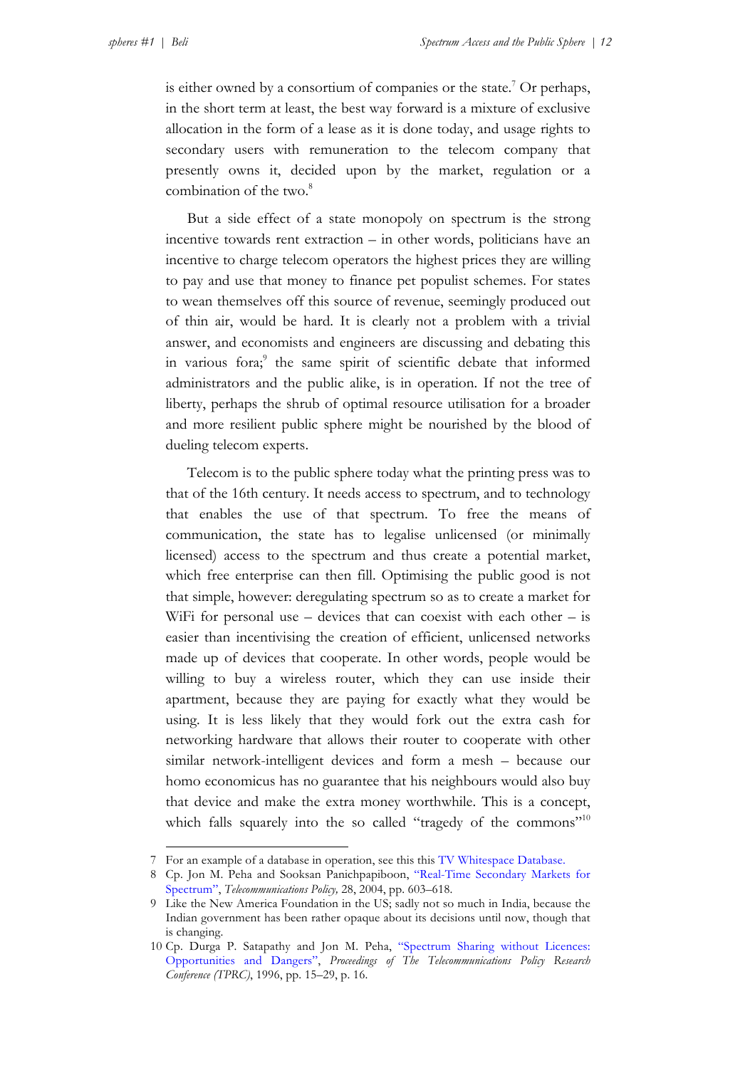is either owned by a consortium of companies or the state.<sup>7</sup> Or perhaps, in the short term at least, the best way forward is a mixture of exclusive allocation in the form of a lease as it is done today, and usage rights to secondary users with remuneration to the telecom company that presently owns it, decided upon by the market, regulation or a combination of the two.<sup>8</sup>

But a side effect of a state monopoly on spectrum is the strong incentive towards rent extraction – in other words, politicians have an incentive to charge telecom operators the highest prices they are willing to pay and use that money to finance pet populist schemes. For states to wean themselves off this source of revenue, seemingly produced out of thin air, would be hard. It is clearly not a problem with a trivial answer, and economists and engineers are discussing and debating this in various fora;<sup>9</sup> the same spirit of scientific debate that informed administrators and the public alike, is in operation. If not the tree of liberty, perhaps the shrub of optimal resource utilisation for a broader and more resilient public sphere might be nourished by the blood of dueling telecom experts.

Telecom is to the public sphere today what the printing press was to that of the 16th century. It needs access to spectrum, and to technology that enables the use of that spectrum. To free the means of communication, the state has to legalise unlicensed (or minimally licensed) access to the spectrum and thus create a potential market, which free enterprise can then fill. Optimising the public good is not that simple, however: deregulating spectrum so as to create a market for WiFi for personal use  $-$  devices that can coexist with each other  $-$  is easier than incentivising the creation of efficient, unlicensed networks made up of devices that cooperate. In other words, people would be willing to buy a wireless router, which they can use inside their apartment, because they are paying for exactly what they would be using. It is less likely that they would fork out the extra cash for networking hardware that allows their router to cooperate with other similar network-intelligent devices and form a mesh – because our homo economicus has no guarantee that his neighbours would also buy that device and make the extra money worthwhile. This is a concept, which falls squarely into the so called "tragedy of the commons"<sup>10</sup>

<sup>7</sup> For an example of a database in operation, see this this [TV Whitespace Database.](http://whitespaces.spectrumbridge.com/Main.aspx)

<sup>8</sup> Cp. Jon M. Peha and Sooksan Panichpapiboon, ["Real-Time Secondary Markets for](http://users.ece.cmu.edu/~peha/RealTimeSecondaryMkt.pdf)  [Spectrum"](http://users.ece.cmu.edu/~peha/RealTimeSecondaryMkt.pdf), *Telecommunications Policy,* 28, 2004, pp. 603–618.

<sup>9</sup> Like the New America Foundation in the US; sadly not so much in India, because the Indian government has been rather opaque about its decisions until now, though that is changing.

<sup>10</sup> Cp. Durga P. Satapathy and Jon M. Peha, ["Spectrum Sharing without Licences:](http://users.ece.cmu.edu/~peha/TPRC96.pdf)  [Opportunities and Dangers",](http://users.ece.cmu.edu/~peha/TPRC96.pdf) *Proceedings of The Telecommunications Policy Research Conference (TPRC)*, 1996, pp. 15–29, p. 16.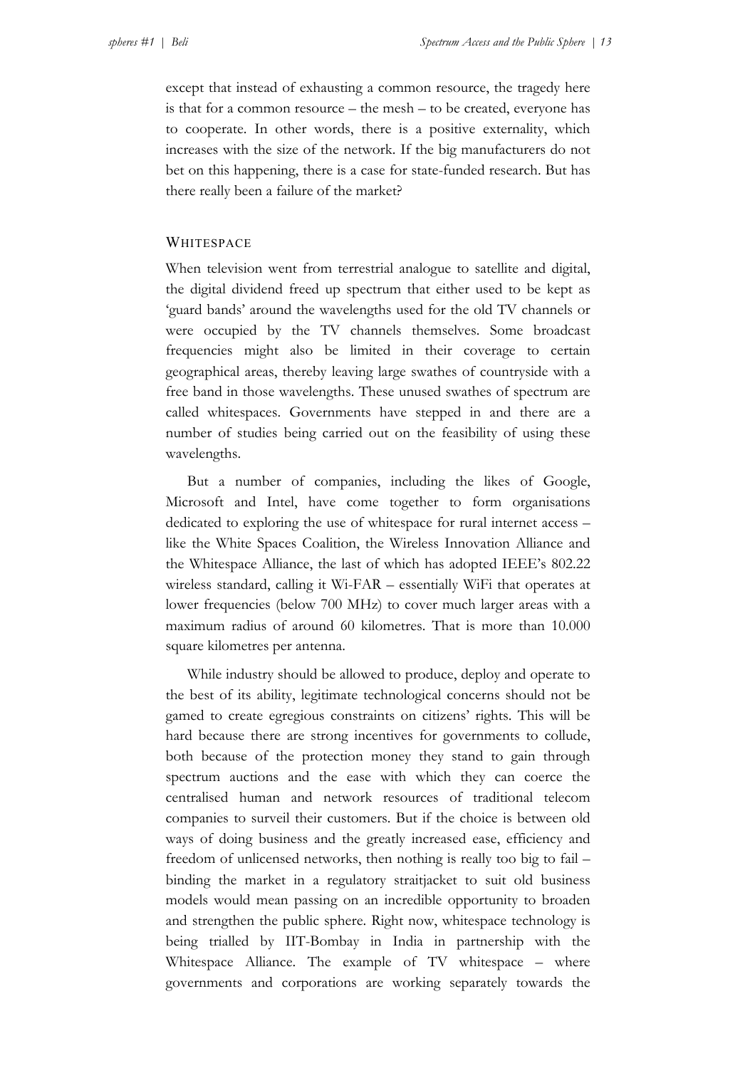except that instead of exhausting a common resource, the tragedy here is that for a common resource – the mesh – to be created, everyone has to cooperate. In other words, there is a positive externality, which increases with the size of the network. If the big manufacturers do not bet on this happening, there is a case for state-funded research. But has there really been a failure of the market?

#### WHITESPACE

When television went from terrestrial analogue to satellite and digital, the digital dividend freed up spectrum that either used to be kept as 'guard bands' around the wavelengths used for the old TV channels or were occupied by the TV channels themselves. Some broadcast frequencies might also be limited in their coverage to certain geographical areas, thereby leaving large swathes of countryside with a free band in those wavelengths. These unused swathes of spectrum are called whitespaces. Governments have stepped in and there are a number of studies being carried out on the feasibility of using these wavelengths.

But a number of companies, including the likes of Google, Microsoft and Intel, have come together to form organisations dedicated to exploring the use of whitespace for rural internet access – like the White Spaces Coalition, the Wireless Innovation Alliance and the Whitespace Alliance, the last of which has adopted IEEE's 802.22 wireless standard, calling it Wi-FAR – essentially WiFi that operates at lower frequencies (below 700 MHz) to cover much larger areas with a maximum radius of around 60 kilometres. That is more than 10.000 square kilometres per antenna.

While industry should be allowed to produce, deploy and operate to the best of its ability, legitimate technological concerns should not be gamed to create egregious constraints on citizens' rights. This will be hard because there are strong incentives for governments to collude, both because of the protection money they stand to gain through spectrum auctions and the ease with which they can coerce the centralised human and network resources of traditional telecom companies to surveil their customers. But if the choice is between old ways of doing business and the greatly increased ease, efficiency and freedom of unlicensed networks, then nothing is really too big to fail – binding the market in a regulatory straitjacket to suit old business models would mean passing on an incredible opportunity to broaden and strengthen the public sphere. Right now, whitespace technology is being trialled by IIT-Bombay in India in partnership with the Whitespace Alliance. The example of TV whitespace – where governments and corporations are working separately towards the